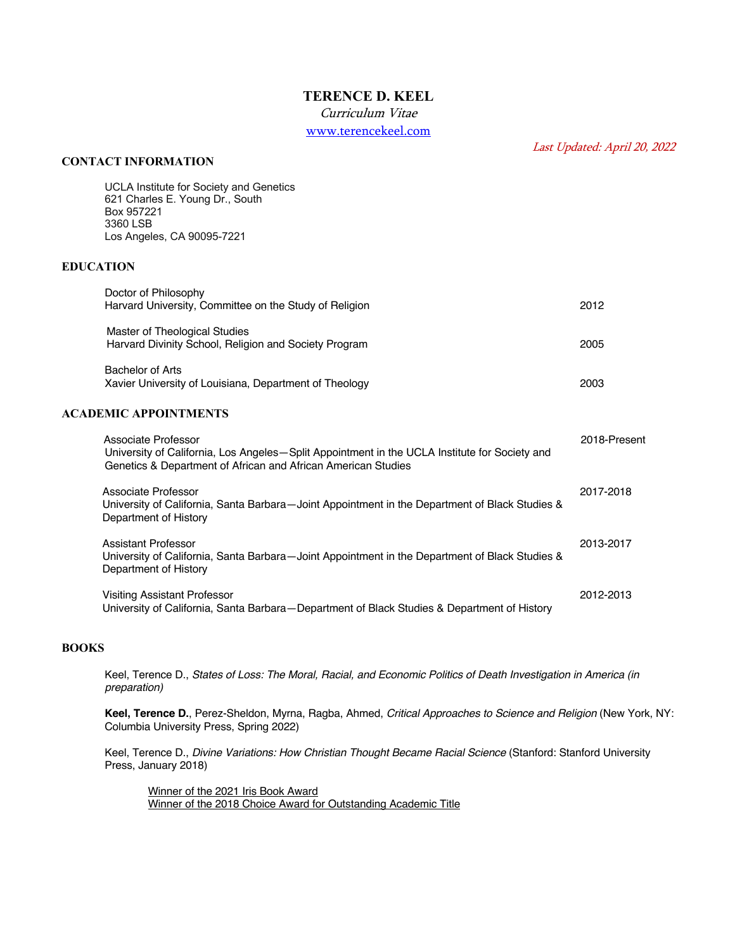# **TERENCE D. KEEL**

Curriculum Vitae

www.terencekeel.com

## **CONTACT INFORMATION**

Last Updated: April 20, 2022

| <b>UCLA Institute for Society and Genetics</b><br>621 Charles E. Young Dr., South<br>Box 957221<br>3360 LSB<br>Los Angeles, CA 90095-7221                                             |              |
|---------------------------------------------------------------------------------------------------------------------------------------------------------------------------------------|--------------|
| <b>EDUCATION</b>                                                                                                                                                                      |              |
| Doctor of Philosophy<br>Harvard University, Committee on the Study of Religion                                                                                                        | 2012         |
| Master of Theological Studies<br>Harvard Divinity School, Religion and Society Program                                                                                                | 2005         |
| <b>Bachelor of Arts</b><br>Xavier University of Louisiana, Department of Theology                                                                                                     | 2003         |
| <b>ACADEMIC APPOINTMENTS</b>                                                                                                                                                          |              |
| Associate Professor<br>University of California, Los Angeles-Split Appointment in the UCLA Institute for Society and<br>Genetics & Department of African and African American Studies | 2018-Present |
| Associate Professor<br>University of California, Santa Barbara-Joint Appointment in the Department of Black Studies &<br>Department of History                                        | 2017-2018    |
| <b>Assistant Professor</b><br>University of California, Santa Barbara-Joint Appointment in the Department of Black Studies &<br>Department of History                                 | 2013-2017    |
| <b>Visiting Assistant Professor</b><br>University of California, Santa Barbara-Department of Black Studies & Department of History                                                    | 2012-2013    |

## **BOOKS**

Keel, Terence D., *States of Loss: The Moral, Racial, and Economic Politics of Death Investigation in America (in preparation)*

**Keel, Terence D.**, Perez-Sheldon, Myrna, Ragba, Ahmed, *Critical Approaches to Science and Religion* (New York, NY: Columbia University Press, Spring 2022)

Keel, Terence D., *Divine Variations: How Christian Thought Became Racial Science* (Stanford: Stanford University Press, January 2018)

Winner of the 2021 Iris Book Award Winner of the 2018 Choice Award for Outstanding Academic Title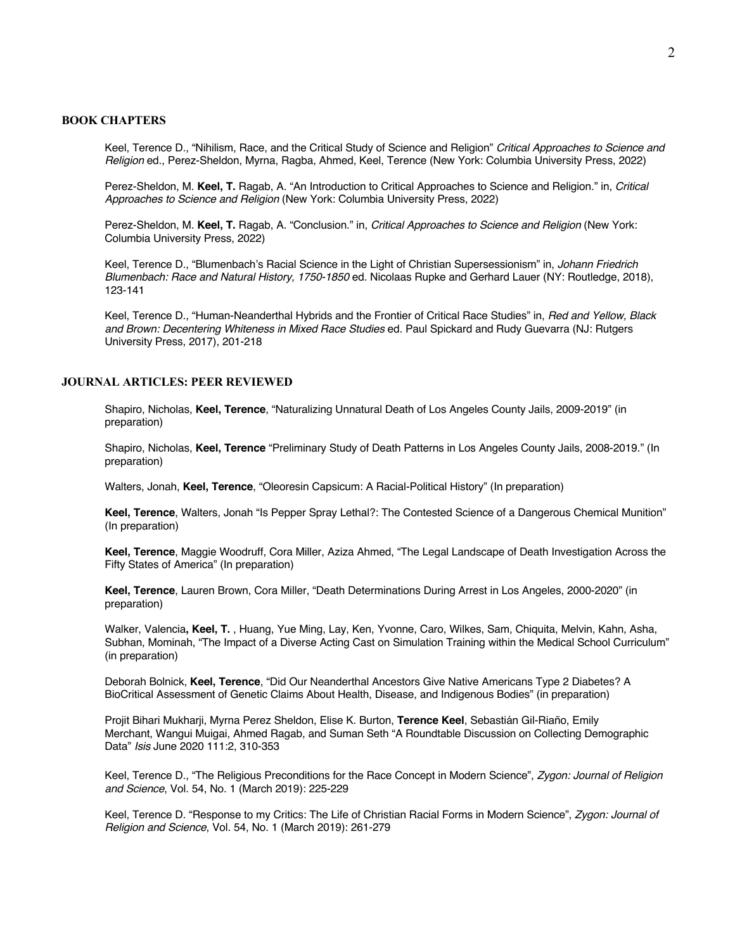### **BOOK CHAPTERS**

Keel, Terence D., "Nihilism, Race, and the Critical Study of Science and Religion" *Critical Approaches to Science and Religion* ed., Perez-Sheldon, Myrna, Ragba, Ahmed, Keel, Terence (New York: Columbia University Press, 2022)

Perez-Sheldon, M. **Keel, T.** Ragab, A. "An Introduction to Critical Approaches to Science and Religion." in, *Critical Approaches to Science and Religion* (New York: Columbia University Press, 2022)

Perez-Sheldon, M. **Keel, T.** Ragab, A. "Conclusion." in, *Critical Approaches to Science and Religion* (New York: Columbia University Press, 2022)

Keel, Terence D., "Blumenbach's Racial Science in the Light of Christian Supersessionism" in, *Johann Friedrich Blumenbach: Race and Natural History, 1750-1850* ed. Nicolaas Rupke and Gerhard Lauer (NY: Routledge, 2018), 123-141

Keel, Terence D., "Human-Neanderthal Hybrids and the Frontier of Critical Race Studies" in, *Red and Yellow, Black and Brown: Decentering Whiteness in Mixed Race Studies* ed. Paul Spickard and Rudy Guevarra (NJ: Rutgers University Press, 2017), 201-218

## **JOURNAL ARTICLES: PEER REVIEWED**

Shapiro, Nicholas, **Keel, Terence**, "Naturalizing Unnatural Death of Los Angeles County Jails, 2009-2019" (in preparation)

Shapiro, Nicholas, **Keel, Terence** "Preliminary Study of Death Patterns in Los Angeles County Jails, 2008-2019." (In preparation)

Walters, Jonah, **Keel, Terence**, "Oleoresin Capsicum: A Racial-Political History" (In preparation)

**Keel, Terence**, Walters, Jonah "Is Pepper Spray Lethal?: The Contested Science of a Dangerous Chemical Munition" (In preparation)

**Keel, Terence**, Maggie Woodruff, Cora Miller, Aziza Ahmed, "The Legal Landscape of Death Investigation Across the Fifty States of America" (In preparation)

**Keel, Terence**, Lauren Brown, Cora Miller, "Death Determinations During Arrest in Los Angeles, 2000-2020" (in preparation)

Walker, Valencia**, Keel, T.** , Huang, Yue Ming, Lay, Ken, Yvonne, Caro, Wilkes, Sam, Chiquita, Melvin, Kahn, Asha, Subhan, Mominah, "The Impact of a Diverse Acting Cast on Simulation Training within the Medical School Curriculum" (in preparation)

Deborah Bolnick, **Keel, Terence**, "Did Our Neanderthal Ancestors Give Native Americans Type 2 Diabetes? A BioCritical Assessment of Genetic Claims About Health, Disease, and Indigenous Bodies" (in preparation)

Projit Bihari Mukharji, Myrna Perez Sheldon, Elise K. Burton, **Terence Keel**, Sebastián Gil-Riaño, Emily Merchant, Wangui Muigai, Ahmed Ragab, and Suman Seth "A Roundtable Discussion on Collecting Demographic Data" *Isis* June 2020 111:2, 310-353

Keel, Terence D., "The Religious Preconditions for the Race Concept in Modern Science", *Zygon: Journal of Religion and Science*, Vol. 54, No. 1 (March 2019): 225-229

Keel, Terence D. "Response to my Critics: The Life of Christian Racial Forms in Modern Science", *Zygon: Journal of Religion and Science*, Vol. 54, No. 1 (March 2019): 261-279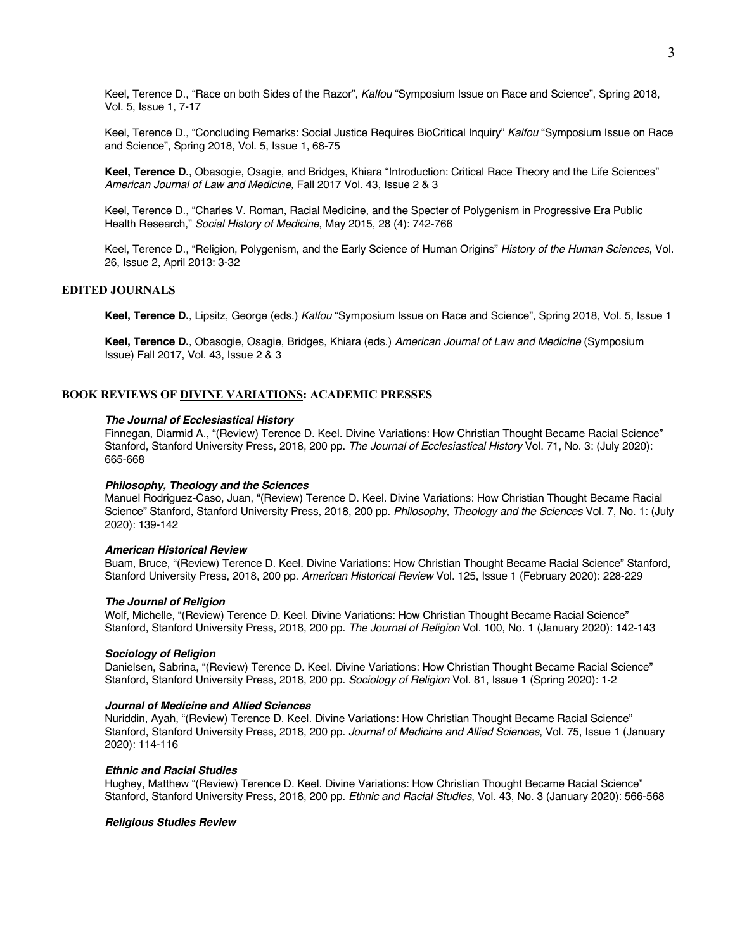Keel, Terence D., "Race on both Sides of the Razor", *Kalfou* "Symposium Issue on Race and Science", Spring 2018, Vol. 5, Issue 1, 7-17

Keel, Terence D., "Concluding Remarks: Social Justice Requires BioCritical Inquiry" *Kalfou* "Symposium Issue on Race and Science", Spring 2018, Vol. 5, Issue 1, 68-75

**Keel, Terence D.**, Obasogie, Osagie, and Bridges, Khiara "Introduction: Critical Race Theory and the Life Sciences" *American Journal of Law and Medicine,* Fall 2017 Vol. 43, Issue 2 & 3

Keel, Terence D., "Charles V. Roman, Racial Medicine, and the Specter of Polygenism in Progressive Era Public Health Research," *Social History of Medicine*, May 2015, 28 (4): 742-766

Keel, Terence D., "Religion, Polygenism, and the Early Science of Human Origins" *History of the Human Sciences*, Vol. 26, Issue 2, April 2013: 3-32

## **EDITED JOURNALS**

**Keel, Terence D.**, Lipsitz, George (eds.) *Kalfou* "Symposium Issue on Race and Science", Spring 2018, Vol. 5, Issue 1

**Keel, Terence D.**, Obasogie, Osagie, Bridges, Khiara (eds.) *American Journal of Law and Medicine* (Symposium Issue) Fall 2017, Vol. 43, Issue 2 & 3

## **BOOK REVIEWS OF DIVINE VARIATIONS: ACADEMIC PRESSES**

### *The Journal of Ecclesiastical History*

Finnegan, Diarmid A., "(Review) Terence D. Keel. Divine Variations: How Christian Thought Became Racial Science" Stanford, Stanford University Press, 2018, 200 pp. *The Journal of Ecclesiastical History* Vol. 71, No. 3: (July 2020): 665-668

#### *Philosophy, Theology and the Sciences*

Manuel Rodriguez-Caso, Juan, "(Review) Terence D. Keel. Divine Variations: How Christian Thought Became Racial Science" Stanford, Stanford University Press, 2018, 200 pp. *Philosophy, Theology and the Sciences* Vol. 7, No. 1: (July 2020): 139-142

#### *American Historical Review*

Buam, Bruce, "(Review) Terence D. Keel. Divine Variations: How Christian Thought Became Racial Science" Stanford, Stanford University Press, 2018, 200 pp. *American Historical Review* Vol. 125, Issue 1 (February 2020): 228-229

#### *The Journal of Religion*

Wolf, Michelle, "(Review) Terence D. Keel. Divine Variations: How Christian Thought Became Racial Science" Stanford, Stanford University Press, 2018, 200 pp. *The Journal of Religion* Vol. 100, No. 1 (January 2020): 142-143

#### *Sociology of Religion*

Danielsen, Sabrina, "(Review) Terence D. Keel. Divine Variations: How Christian Thought Became Racial Science" Stanford, Stanford University Press, 2018, 200 pp. *Sociology of Religion* Vol. 81, Issue 1 (Spring 2020): 1-2

#### *Journal of Medicine and Allied Sciences*

Nuriddin, Ayah, "(Review) Terence D. Keel. Divine Variations: How Christian Thought Became Racial Science" Stanford, Stanford University Press, 2018, 200 pp. *Journal of Medicine and Allied Sciences*, Vol. 75, Issue 1 (January 2020): 114-116

### *Ethnic and Racial Studies*

Hughey, Matthew "(Review) Terence D. Keel. Divine Variations: How Christian Thought Became Racial Science" Stanford, Stanford University Press, 2018, 200 pp. *Ethnic and Racial Studies*, Vol. 43, No. 3 (January 2020): 566-568

#### *Religious Studies Review*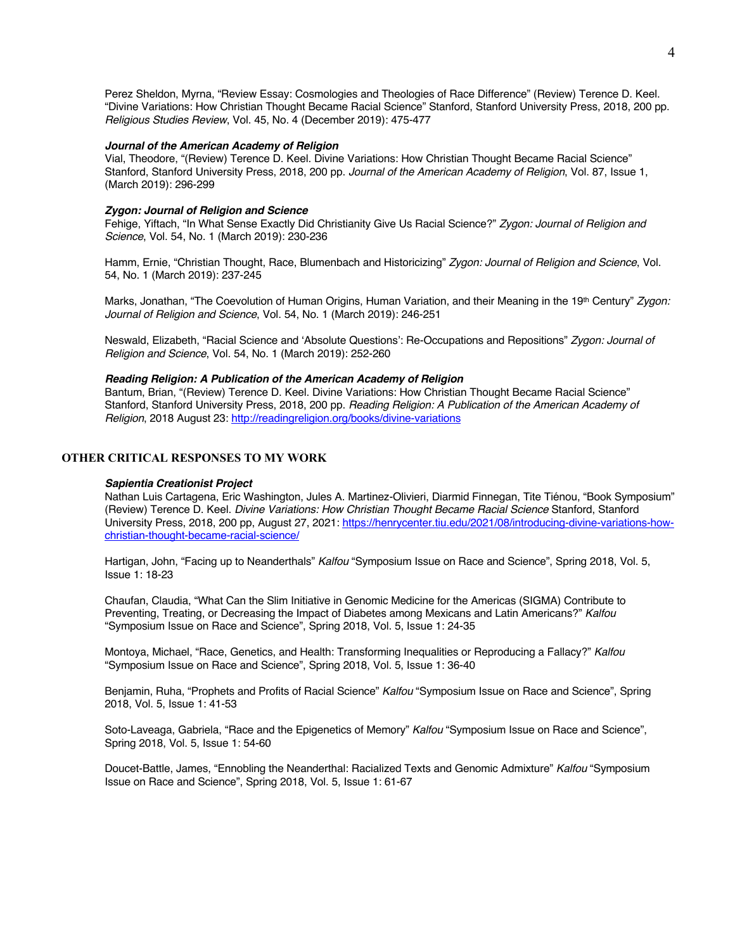Perez Sheldon, Myrna, "Review Essay: Cosmologies and Theologies of Race Difference" (Review) Terence D. Keel. "Divine Variations: How Christian Thought Became Racial Science" Stanford, Stanford University Press, 2018, 200 pp. *Religious Studies Review*, Vol. 45, No. 4 (December 2019): 475-477

#### *Journal of the American Academy of Religion*

Vial, Theodore, "(Review) Terence D. Keel. Divine Variations: How Christian Thought Became Racial Science" Stanford, Stanford University Press, 2018, 200 pp. *Journal of the American Academy of Religion*, Vol. 87, Issue 1, (March 2019): 296-299

### *Zygon: Journal of Religion and Science*

Fehige, Yiftach, "In What Sense Exactly Did Christianity Give Us Racial Science?" *Zygon: Journal of Religion and Science*, Vol. 54, No. 1 (March 2019): 230-236

Hamm, Ernie, "Christian Thought, Race, Blumenbach and Historicizing" *Zygon: Journal of Religion and Science*, Vol. 54, No. 1 (March 2019): 237-245

Marks, Jonathan, "The Coevolution of Human Origins, Human Variation, and their Meaning in the 19<sup>th</sup> Century" Zygon: *Journal of Religion and Science*, Vol. 54, No. 1 (March 2019): 246-251

Neswald, Elizabeth, "Racial Science and 'Absolute Questions': Re-Occupations and Repositions" *Zygon: Journal of Religion and Science*, Vol. 54, No. 1 (March 2019): 252-260

### *Reading Religion: A Publication of the American Academy of Religion*

Bantum, Brian, "(Review) Terence D. Keel. Divine Variations: How Christian Thought Became Racial Science" Stanford, Stanford University Press, 2018, 200 pp. *Reading Religion: A Publication of the American Academy of Religion*, 2018 August 23: http://readingreligion.org/books/divine-variations

### **OTHER CRITICAL RESPONSES TO MY WORK**

#### *Sapientia Creationist Project*

Nathan Luis Cartagena, Eric Washington, Jules A. Martinez-Olivieri, Diarmid Finnegan, Tite Tiénou, "Book Symposium" (Review) Terence D. Keel. *Divine Variations: How Christian Thought Became Racial Science* Stanford, Stanford University Press, 2018, 200 pp, August 27, 2021: https://henrycenter.tiu.edu/2021/08/introducing-divine-variations-howchristian-thought-became-racial-science/

Hartigan, John, "Facing up to Neanderthals" *Kalfou* "Symposium Issue on Race and Science", Spring 2018, Vol. 5, Issue 1: 18-23

Chaufan, Claudia, "What Can the Slim Initiative in Genomic Medicine for the Americas (SIGMA) Contribute to Preventing, Treating, or Decreasing the Impact of Diabetes among Mexicans and Latin Americans?" *Kalfou* "Symposium Issue on Race and Science", Spring 2018, Vol. 5, Issue 1: 24-35

Montoya, Michael, "Race, Genetics, and Health: Transforming Inequalities or Reproducing a Fallacy?" *Kalfou* "Symposium Issue on Race and Science", Spring 2018, Vol. 5, Issue 1: 36-40

Benjamin, Ruha, "Prophets and Profits of Racial Science" *Kalfou* "Symposium Issue on Race and Science", Spring 2018, Vol. 5, Issue 1: 41-53

Soto-Laveaga, Gabriela, "Race and the Epigenetics of Memory" *Kalfou* "Symposium Issue on Race and Science", Spring 2018, Vol. 5, Issue 1: 54-60

Doucet-Battle, James, "Ennobling the Neanderthal: Racialized Texts and Genomic Admixture" *Kalfou* "Symposium Issue on Race and Science", Spring 2018, Vol. 5, Issue 1: 61-67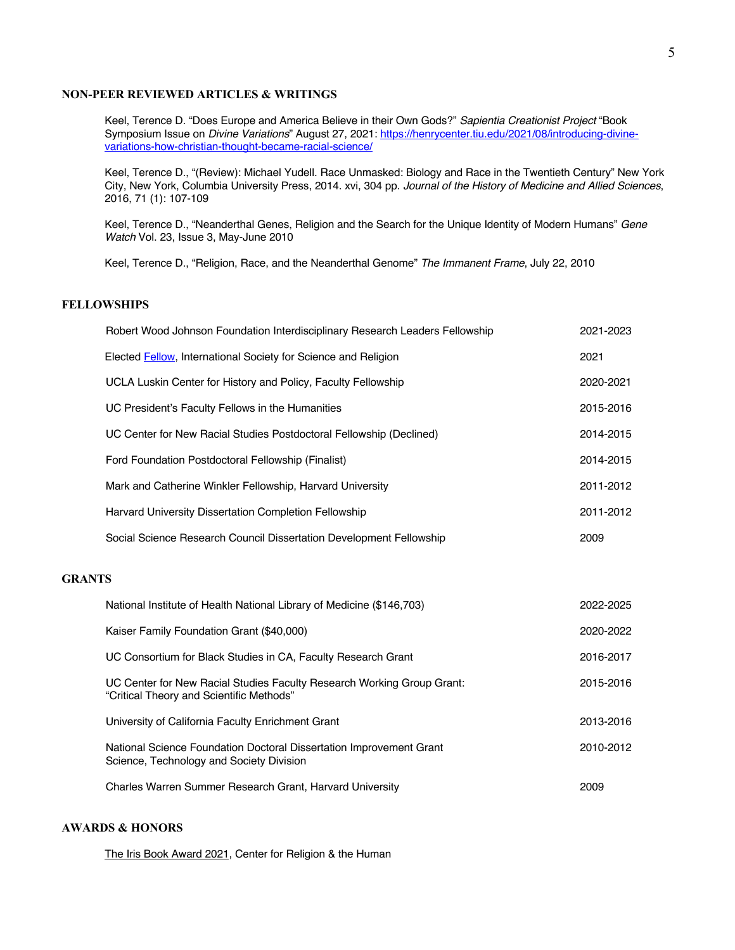### **NON-PEER REVIEWED ARTICLES & WRITINGS**

Keel, Terence D. "Does Europe and America Believe in their Own Gods?" *Sapientia Creationist Project* "Book Symposium Issue on *Divine Variations*" August 27, 2021: https://henrycenter.tiu.edu/2021/08/introducing-divinevariations-how-christian-thought-became-racial-science/

Keel, Terence D., "(Review): Michael Yudell. Race Unmasked: Biology and Race in the Twentieth Century" New York City, New York, Columbia University Press, 2014. xvi, 304 pp. *Journal of the History of Medicine and Allied Sciences*, 2016, 71 (1): 107-109

Keel, Terence D., "Neanderthal Genes, Religion and the Search for the Unique Identity of Modern Humans" *Gene Watch* Vol. 23, Issue 3, May-June 2010

Keel, Terence D., "Religion, Race, and the Neanderthal Genome" *The Immanent Frame*, July 22, 2010

## **FELLOWSHIPS**

|               | Robert Wood Johnson Foundation Interdisciplinary Research Leaders Fellowship                                                                                                                                                      | 2021-2023 |
|---------------|-----------------------------------------------------------------------------------------------------------------------------------------------------------------------------------------------------------------------------------|-----------|
|               | Elected Fellow, International Society for Science and Religion                                                                                                                                                                    | 2021      |
|               | UCLA Luskin Center for History and Policy, Faculty Fellowship                                                                                                                                                                     | 2020-2021 |
|               | UC President's Faculty Fellows in the Humanities                                                                                                                                                                                  | 2015-2016 |
|               | UC Center for New Racial Studies Postdoctoral Fellowship (Declined)                                                                                                                                                               | 2014-2015 |
|               | Ford Foundation Postdoctoral Fellowship (Finalist)                                                                                                                                                                                | 2014-2015 |
|               | Mark and Catherine Winkler Fellowship, Harvard University                                                                                                                                                                         | 2011-2012 |
|               | Harvard University Dissertation Completion Fellowship                                                                                                                                                                             | 2011-2012 |
|               | Social Science Research Council Dissertation Development Fellowship                                                                                                                                                               | 2009      |
|               |                                                                                                                                                                                                                                   |           |
| <b>GRANTS</b> |                                                                                                                                                                                                                                   |           |
|               | $\mathbf{r}$ . The contract of the contract of the contract of the contract of the contract of the contract of the contract of the contract of the contract of the contract of the contract of the contract of the contract of th |           |

| National Institute of Health National Library of Medicine (\$146,703)                                              | 2022-2025 |
|--------------------------------------------------------------------------------------------------------------------|-----------|
| Kaiser Family Foundation Grant (\$40,000)                                                                          | 2020-2022 |
| UC Consortium for Black Studies in CA, Faculty Research Grant                                                      | 2016-2017 |
| UC Center for New Racial Studies Faculty Research Working Group Grant:<br>"Critical Theory and Scientific Methods" | 2015-2016 |
| University of California Faculty Enrichment Grant                                                                  | 2013-2016 |
| National Science Foundation Doctoral Dissertation Improvement Grant<br>Science, Technology and Society Division    | 2010-2012 |
| Charles Warren Summer Research Grant, Harvard University                                                           | 2009      |

## **AWARDS & HONORS**

The Iris Book Award 2021, Center for Religion & the Human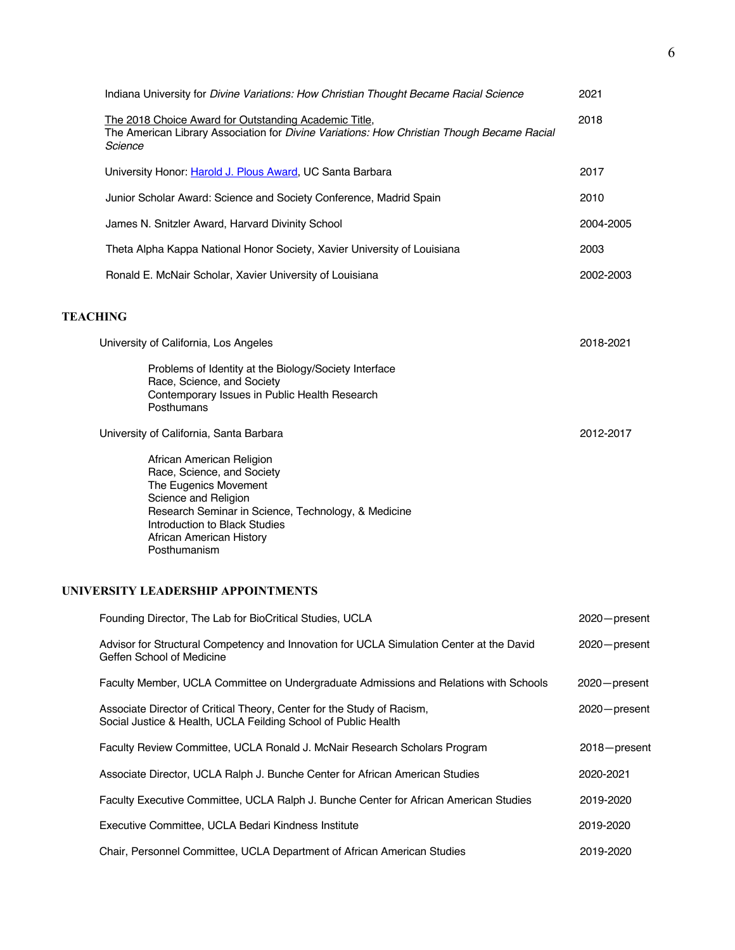| Indiana University for Divine Variations: How Christian Thought Became Racial Science                                                                                                                                                        | 2021      |
|----------------------------------------------------------------------------------------------------------------------------------------------------------------------------------------------------------------------------------------------|-----------|
| The 2018 Choice Award for Outstanding Academic Title,<br>The American Library Association for Divine Variations: How Christian Though Became Racial<br>Science                                                                               | 2018      |
| University Honor: Harold J. Plous Award, UC Santa Barbara                                                                                                                                                                                    | 2017      |
| Junior Scholar Award: Science and Society Conference, Madrid Spain                                                                                                                                                                           | 2010      |
| James N. Snitzler Award, Harvard Divinity School                                                                                                                                                                                             | 2004-2005 |
| Theta Alpha Kappa National Honor Society, Xavier University of Louisiana                                                                                                                                                                     | 2003      |
| Ronald E. McNair Scholar, Xavier University of Louisiana                                                                                                                                                                                     | 2002-2003 |
| <b>TEACHING</b>                                                                                                                                                                                                                              |           |
| University of California, Los Angeles                                                                                                                                                                                                        | 2018-2021 |
| Problems of Identity at the Biology/Society Interface<br>Race, Science, and Society<br>Contemporary Issues in Public Health Research<br>Posthumans                                                                                           |           |
| University of California, Santa Barbara                                                                                                                                                                                                      | 2012-2017 |
| African American Religion<br>Race, Science, and Society<br>The Eugenics Movement<br>Science and Religion<br>Research Seminar in Science, Technology, & Medicine<br>Introduction to Black Studies<br>African American History<br>Posthumanism |           |

# **UNIVERSITY LEADERSHIP APPOINTMENTS**

| Founding Director, The Lab for BioCritical Studies, UCLA                                                                                 | 2020-present |
|------------------------------------------------------------------------------------------------------------------------------------------|--------------|
| Advisor for Structural Competency and Innovation for UCLA Simulation Center at the David<br>Geffen School of Medicine                    | 2020-present |
| Faculty Member, UCLA Committee on Undergraduate Admissions and Relations with Schools                                                    | 2020-present |
| Associate Director of Critical Theory, Center for the Study of Racism,<br>Social Justice & Health, UCLA Feilding School of Public Health | 2020-present |
| Faculty Review Committee, UCLA Ronald J. McNair Research Scholars Program                                                                | 2018-present |
| Associate Director, UCLA Ralph J. Bunche Center for African American Studies                                                             | 2020-2021    |
| Faculty Executive Committee, UCLA Ralph J. Bunche Center for African American Studies                                                    | 2019-2020    |
| Executive Committee, UCLA Bedari Kindness Institute                                                                                      | 2019-2020    |
| Chair, Personnel Committee, UCLA Department of African American Studies                                                                  | 2019-2020    |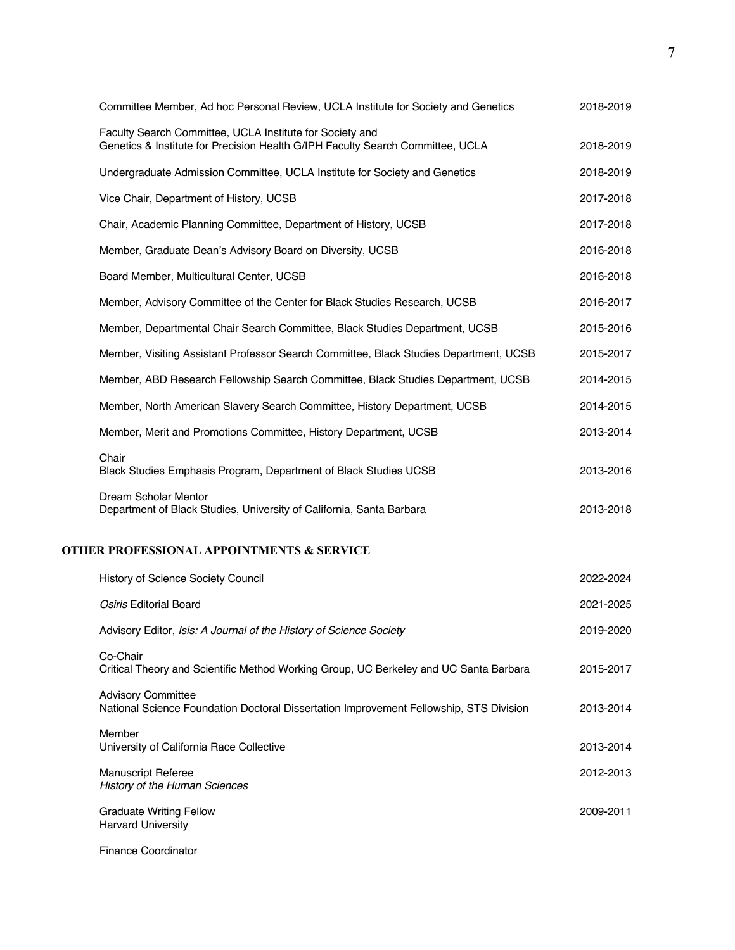| Committee Member, Ad hoc Personal Review, UCLA Institute for Society and Genetics                                                          | 2018-2019 |
|--------------------------------------------------------------------------------------------------------------------------------------------|-----------|
| Faculty Search Committee, UCLA Institute for Society and<br>Genetics & Institute for Precision Health G/IPH Faculty Search Committee, UCLA | 2018-2019 |
| Undergraduate Admission Committee, UCLA Institute for Society and Genetics                                                                 | 2018-2019 |
| Vice Chair, Department of History, UCSB                                                                                                    | 2017-2018 |
| Chair, Academic Planning Committee, Department of History, UCSB                                                                            | 2017-2018 |
| Member, Graduate Dean's Advisory Board on Diversity, UCSB                                                                                  | 2016-2018 |
| Board Member, Multicultural Center, UCSB                                                                                                   | 2016-2018 |
| Member, Advisory Committee of the Center for Black Studies Research, UCSB                                                                  | 2016-2017 |
| Member, Departmental Chair Search Committee, Black Studies Department, UCSB                                                                | 2015-2016 |
| Member, Visiting Assistant Professor Search Committee, Black Studies Department, UCSB                                                      | 2015-2017 |
| Member, ABD Research Fellowship Search Committee, Black Studies Department, UCSB                                                           | 2014-2015 |
| Member, North American Slavery Search Committee, History Department, UCSB                                                                  | 2014-2015 |
| Member, Merit and Promotions Committee, History Department, UCSB                                                                           | 2013-2014 |
| Chair<br>Black Studies Emphasis Program, Department of Black Studies UCSB                                                                  | 2013-2016 |
| Dream Scholar Mentor<br>Department of Black Studies, University of California, Santa Barbara                                               | 2013-2018 |
| <b>OTHER PROFESSIONAL APPOINTMENTS &amp; SERVICE</b>                                                                                       |           |
| <b>History of Science Society Council</b>                                                                                                  | 2022-2024 |
| Osiris Editorial Board                                                                                                                     | 2021-2025 |
| Advisory Editor, Isis: A Journal of the History of Science Society                                                                         | 2019-2020 |
| Co-Chair<br>Critical Theory and Scientific Method Working Group, UC Berkeley and UC Santa Barbara                                          | 2015-2017 |
| <b>Advisory Committee</b><br>National Science Foundation Doctoral Dissertation Improvement Fellowship, STS Division                        | 2013-2014 |
| Member<br>University of California Race Collective                                                                                         | 2013-2014 |
| <b>Manuscript Referee</b><br>History of the Human Sciences                                                                                 | 2012-2013 |
| <b>Graduate Writing Fellow</b><br><b>Harvard University</b>                                                                                | 2009-2011 |

Finance Coordinator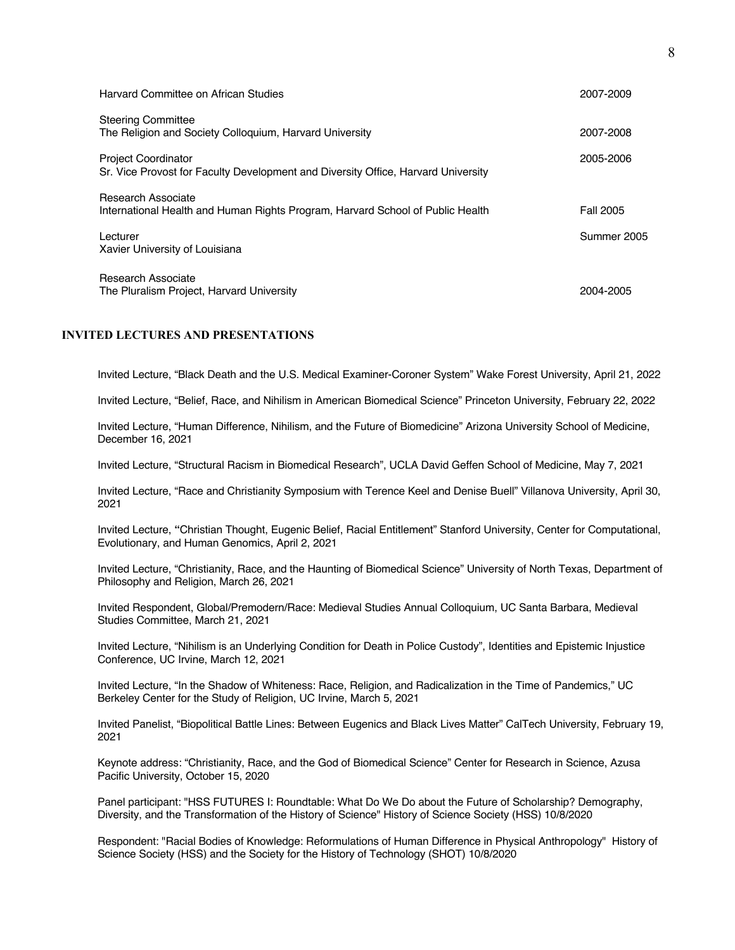| Harvard Committee on African Studies                                                                            | 2007-2009   |
|-----------------------------------------------------------------------------------------------------------------|-------------|
| <b>Steering Committee</b><br>The Religion and Society Colloquium, Harvard University                            | 2007-2008   |
| <b>Project Coordinator</b><br>Sr. Vice Provost for Faculty Development and Diversity Office, Harvard University | 2005-2006   |
| <b>Research Associate</b><br>International Health and Human Rights Program, Harvard School of Public Health     | Fall 2005   |
| Lecturer<br>Xavier University of Louisiana                                                                      | Summer 2005 |
| Research Associate<br>The Pluralism Project, Harvard University                                                 | 2004-2005   |

## **INVITED LECTURES AND PRESENTATIONS**

Invited Lecture, "Black Death and the U.S. Medical Examiner-Coroner System" Wake Forest University, April 21, 2022

Invited Lecture, "Belief, Race, and Nihilism in American Biomedical Science" Princeton University, February 22, 2022

Invited Lecture, "Human Difference, Nihilism, and the Future of Biomedicine" Arizona University School of Medicine, December 16, 2021

Invited Lecture, "Structural Racism in Biomedical Research", UCLA David Geffen School of Medicine, May 7, 2021

Invited Lecture, "Race and Christianity Symposium with Terence Keel and Denise Buell" Villanova University, April 30, 2021

Invited Lecture, **"**Christian Thought, Eugenic Belief, Racial Entitlement" Stanford University, Center for Computational, Evolutionary, and Human Genomics, April 2, 2021

Invited Lecture, "Christianity, Race, and the Haunting of Biomedical Science" University of North Texas, Department of Philosophy and Religion, March 26, 2021

Invited Respondent, Global/Premodern/Race: Medieval Studies Annual Colloquium, UC Santa Barbara, Medieval Studies Committee, March 21, 2021

Invited Lecture, "Nihilism is an Underlying Condition for Death in Police Custody", Identities and Epistemic Injustice Conference, UC Irvine, March 12, 2021

Invited Lecture, "In the Shadow of Whiteness: Race, Religion, and Radicalization in the Time of Pandemics," UC Berkeley Center for the Study of Religion, UC Irvine, March 5, 2021

Invited Panelist, "Biopolitical Battle Lines: Between Eugenics and Black Lives Matter" CalTech University, February 19, 2021

Keynote address: "Christianity, Race, and the God of Biomedical Science" Center for Research in Science, Azusa Pacific University, October 15, 2020

Panel participant: "HSS FUTURES I: Roundtable: What Do We Do about the Future of Scholarship? Demography, Diversity, and the Transformation of the History of Science" History of Science Society (HSS) 10/8/2020

Respondent: "Racial Bodies of Knowledge: Reformulations of Human Difference in Physical Anthropology" History of Science Society (HSS) and the Society for the History of Technology (SHOT) 10/8/2020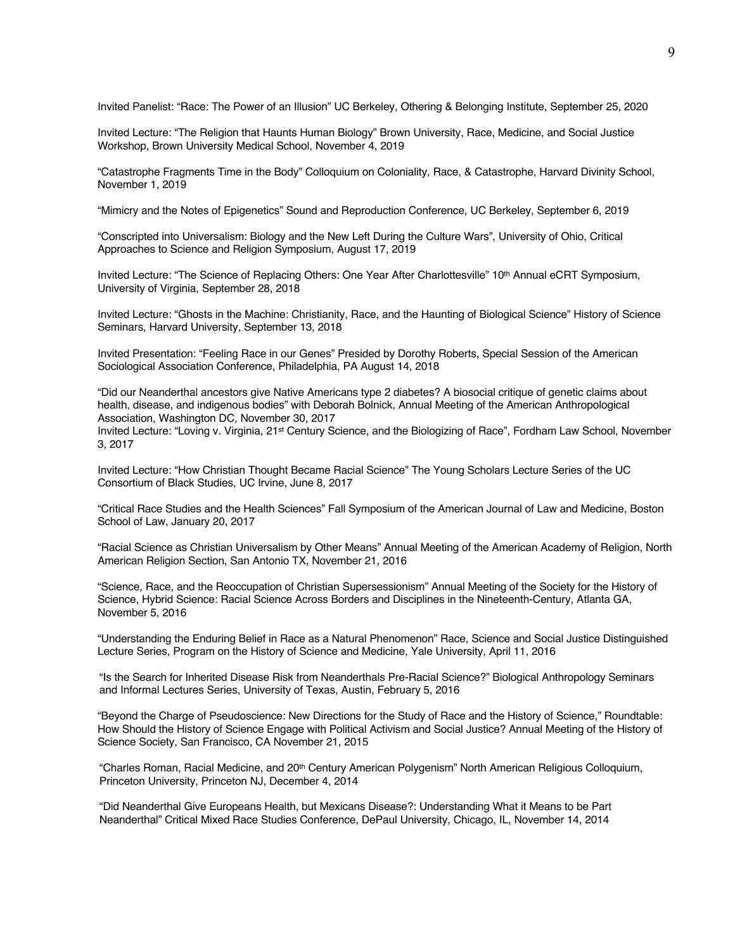Invited Panelist: "Race: The Power of an Illusion" UC Berkeley, Othering & Belonging Institute, September 25, 2020

Invited Lecture: "The Religion that Haunts Human Biology" Brown University, Race, Medicine, and Social Justice Workshop, Brown University Medical School, November 4, 2019

"Catastrophe Fragments Time in the Body" Colloquium on Coloniality, Race, & Catastrophe, Harvard Divinity School, November 1, 2019

"Mimicry and the Notes of Epigenetics" Sound and Reproduction Conference, UC Berkeley, September 6, 2019

"Conscripted into Universalism: Biology and the New Left During the Culture Wars", University of Ohio, Critical Approaches to Science and Religion Symposium, August 17, 2019

Invited Lecture: "The Science of Replacing Others: One Year After Charlottesville" 10<sup>th</sup> Annual eCRT Symposium, University of Virginia, September 28, 2018

Invited Lecture: "Ghosts in the Machine: Christianity, Race, and the Haunting of Biological Science" History of Science Seminars, Harvard University, September 13, 2018

Invited Presentation: "Feeling Race in our Genes" Presided by Dorothy Roberts, Special Session of the American Sociological Association Conference, Philadelphia, PA August 14, 2018

"Did our Neanderthal ancestors give Native Americans type 2 diabetes? A biosocial critique of genetic claims about health, disease, and indigenous bodies" with Deborah Bolnick, Annual Meeting of the American Anthropological Association, Washington DC, November 30, 2017

Invited Lecture: "Loving v. Virginia, 21st Century Science, and the Biologizing of Race", Fordham Law School, November 3, 2017

Invited Lecture: "How Christian Thought Became Racial Science" The Young Scholars Lecture Series of the UC Consortium of Black Studies, UC Irvine, June 8, 2017

"Critical Race Studies and the Health Sciences" Fall Symposium of the American Journal of Law and Medicine, Boston School of Law, January 20, 2017

"Racial Science as Christian Universalism by Other Means" Annual Meeting of the American Academy of Religion, North American Religion Section, San Antonio TX, November 21, 2016

"Science, Race, and the Reoccupation of Christian Supersessionism" Annual Meeting of the Society for the History of Science, Hybrid Science: Racial Science Across Borders and Disciplines in the Nineteenth-Century, Atlanta GA, November 5, 2016

"Understanding the Enduring Belief in Race as a Natural Phenomenon" Race, Science and Social Justice Distinguished Lecture Series, Program on the History of Science and Medicine, Yale University, April 11, 2016

"Is the Search for Inherited Disease Risk from Neanderthals Pre-Racial Science?" Biological Anthropology Seminars and Informal Lectures Series, University of Texas, Austin, February 5, 2016

"Beyond the Charge of Pseudoscience: New Directions for the Study of Race and the History of Science," Roundtable: How Should the History of Science Engage with Political Activism and Social Justice? Annual Meeting of the History of Science Society, San Francisco, CA November 21, 2015

"Charles Roman, Racial Medicine, and 20<sup>th</sup> Century American Polygenism" North American Religious Colloquium, Princeton University, Princeton NJ, December 4, 2014

"Did Neanderthal Give Europeans Health, but Mexicans Disease?: Understanding What it Means to be Part Neanderthal" Critical Mixed Race Studies Conference, DePaul University, Chicago, IL, November 14, 2014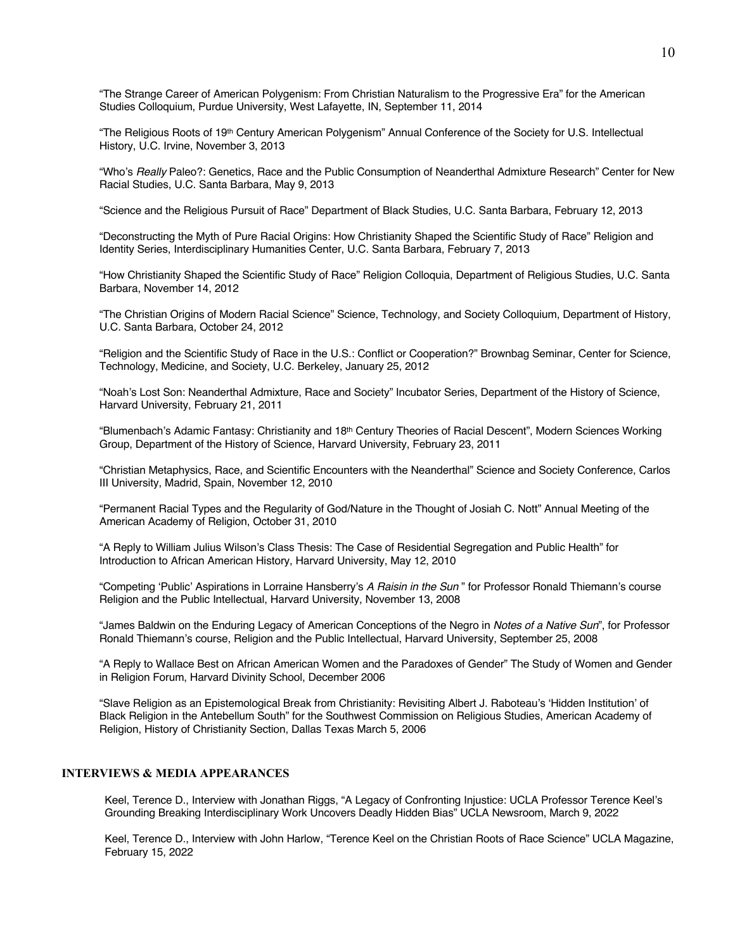"The Strange Career of American Polygenism: From Christian Naturalism to the Progressive Era" for the American Studies Colloquium, Purdue University, West Lafayette, IN, September 11, 2014

"The Religious Roots of 19th Century American Polygenism" Annual Conference of the Society for U.S. Intellectual History, U.C. Irvine, November 3, 2013

"Who's *Really* Paleo?: Genetics, Race and the Public Consumption of Neanderthal Admixture Research" Center for New Racial Studies, U.C. Santa Barbara, May 9, 2013

"Science and the Religious Pursuit of Race" Department of Black Studies, U.C. Santa Barbara, February 12, 2013

"Deconstructing the Myth of Pure Racial Origins: How Christianity Shaped the Scientific Study of Race" Religion and Identity Series, Interdisciplinary Humanities Center, U.C. Santa Barbara, February 7, 2013

"How Christianity Shaped the Scientific Study of Race" Religion Colloquia, Department of Religious Studies, U.C. Santa Barbara, November 14, 2012

"The Christian Origins of Modern Racial Science" Science, Technology, and Society Colloquium, Department of History, U.C. Santa Barbara, October 24, 2012

"Religion and the Scientific Study of Race in the U.S.: Conflict or Cooperation?" Brownbag Seminar, Center for Science, Technology, Medicine, and Society, U.C. Berkeley, January 25, 2012

"Noah's Lost Son: Neanderthal Admixture, Race and Society" Incubator Series, Department of the History of Science, Harvard University, February 21, 2011

"Blumenbach's Adamic Fantasy: Christianity and 18<sup>th</sup> Century Theories of Racial Descent", Modern Sciences Working Group, Department of the History of Science, Harvard University, February 23, 2011

"Christian Metaphysics, Race, and Scientific Encounters with the Neanderthal" Science and Society Conference, Carlos III University, Madrid, Spain, November 12, 2010

"Permanent Racial Types and the Regularity of God/Nature in the Thought of Josiah C. Nott" Annual Meeting of the American Academy of Religion, October 31, 2010

"A Reply to William Julius Wilson's Class Thesis: The Case of Residential Segregation and Public Health" for Introduction to African American History, Harvard University, May 12, 2010

"Competing 'Public' Aspirations in Lorraine Hansberry's *A Raisin in the Sun* " for Professor Ronald Thiemann's course Religion and the Public Intellectual, Harvard University, November 13, 2008

"James Baldwin on the Enduring Legacy of American Conceptions of the Negro in *Notes of a Native Sun*", for Professor Ronald Thiemann's course, Religion and the Public Intellectual, Harvard University, September 25, 2008

"A Reply to Wallace Best on African American Women and the Paradoxes of Gender" The Study of Women and Gender in Religion Forum, Harvard Divinity School, December 2006

"Slave Religion as an Epistemological Break from Christianity: Revisiting Albert J. Raboteau's 'Hidden Institution' of Black Religion in the Antebellum South" for the Southwest Commission on Religious Studies, American Academy of Religion, History of Christianity Section, Dallas Texas March 5, 2006

## **INTERVIEWS & MEDIA APPEARANCES**

Keel, Terence D., Interview with Jonathan Riggs, "A Legacy of Confronting Injustice: UCLA Professor Terence Keel's Grounding Breaking Interdisciplinary Work Uncovers Deadly Hidden Bias" UCLA Newsroom, March 9, 2022

Keel, Terence D., Interview with John Harlow, "Terence Keel on the Christian Roots of Race Science" UCLA Magazine, February 15, 2022